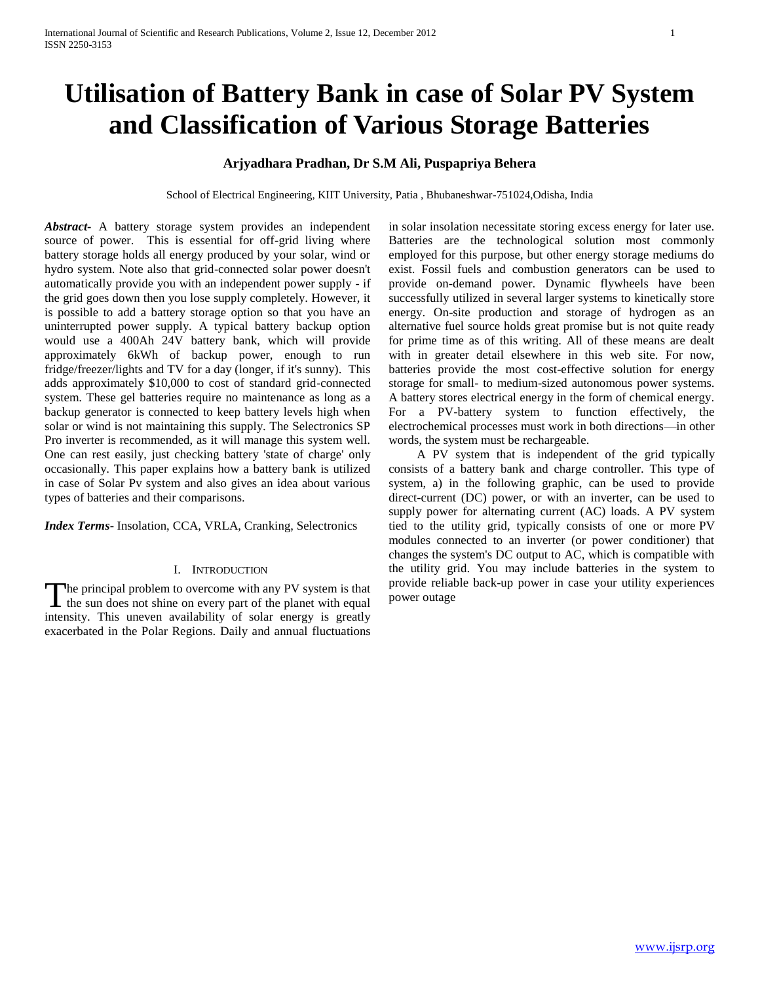# **Utilisation of Battery Bank in case of Solar PV System and Classification of Various Storage Batteries**

# **Arjyadhara Pradhan, Dr S.M Ali, Puspapriya Behera**

School of Electrical Engineering, KIIT University, Patia , Bhubaneshwar-751024,Odisha, India

*Abstract***-** A battery storage system provides an independent source of power. This is essential for off-grid living where battery storage holds all energy produced by your solar, wind or hydro system. Note also that grid-connected solar power doesn't automatically provide you with an independent power supply - if the grid goes down then you lose supply completely. However, it is possible to add a battery storage option so that you have an uninterrupted power supply. A typical battery backup option would use a 400Ah 24V battery bank, which will provide approximately 6kWh of backup power, enough to run fridge/freezer/lights and TV for a day (longer, if it's sunny). This adds approximately \$10,000 to cost of standard grid-connected system. These gel batteries require no maintenance as long as a backup generator is connected to keep battery levels high when solar or wind is not maintaining this supply. The Selectronics SP Pro inverter is recommended, as it will manage this system well. One can rest easily, just checking battery 'state of charge' only occasionally. This paper explains how a battery bank is utilized in case of Solar Pv system and also gives an idea about various types of batteries and their comparisons.

*Index Terms*- Insolation, CCA, VRLA, Cranking, Selectronics

# I. INTRODUCTION

The principal problem to overcome with any PV system is that The principal problem to overcome with any PV system is that provide reliable back-up power in case your utility experiences the sun does not shine on every part of the planet with equal power outage intensity. This uneven availability of solar energy is greatly exacerbated in the Polar Regions. Daily and annual fluctuations

in solar insolation necessitate storing excess energy for later use. Batteries are the technological solution most commonly employed for this purpose, but other energy storage mediums do exist. Fossil fuels and combustion generators can be used to provide on-demand power. Dynamic flywheels have been successfully utilized in several larger systems to kinetically store energy. On-site production and storage of hydrogen as an alternative fuel source holds great promise but is not quite ready for prime time as of this writing. All of these means are dealt with in greater detail elsewhere in this web site. For now, batteries provide the most cost-effective solution for energy storage for small- to medium-sized autonomous power systems. A battery stores electrical energy in the form of chemical energy. For a PV-battery system to function effectively, the electrochemical processes must work in both directions—in other words, the system must be rechargeable.

 A PV system that is independent of the grid typically consists of a battery bank and charge controller. This type of system, a) in the following graphic, can be used to provide direct-current (DC) power, or with an inverter, can be used to supply power for alternating current (AC) loads. A PV system tied to the utility grid, typically consists of one or more PV modules connected to an inverter (or power conditioner) that changes the system's DC output to AC, which is compatible with the utility grid. You may include batteries in the system to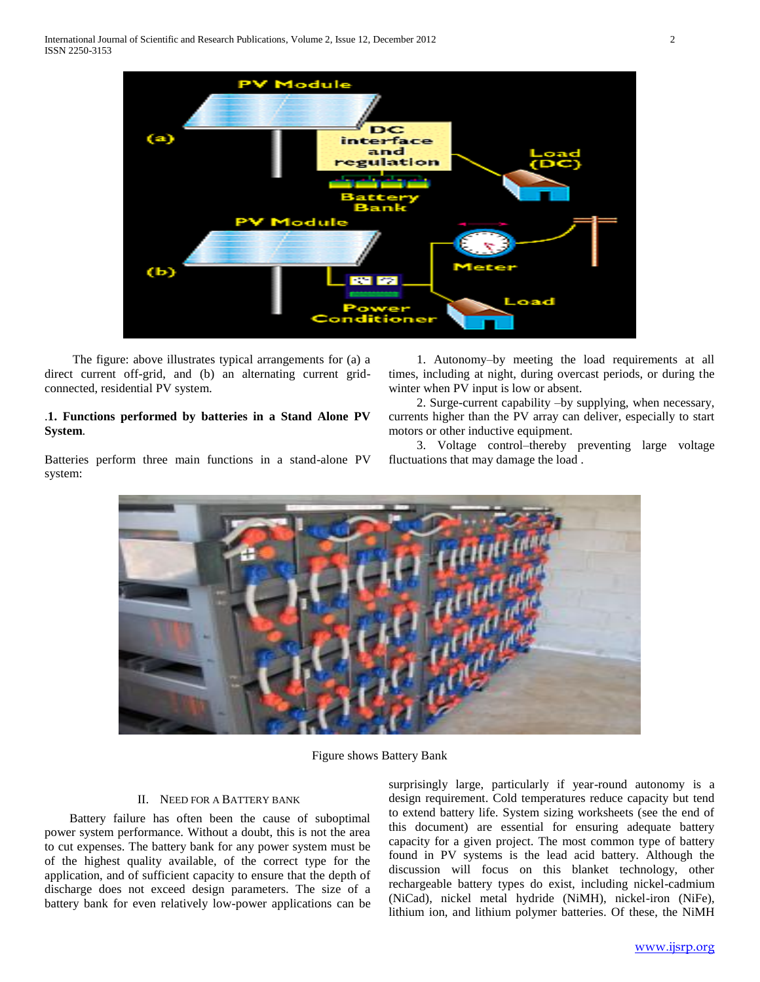

 The figure: above illustrates typical arrangements for (a) a direct current off-grid, and (b) an alternating current gridconnected, residential PV system.

# .**1. Functions performed by batteries in a Stand Alone PV System**.

Batteries perform three main functions in a stand-alone PV system:

 1. Autonomy–by meeting the load requirements at all times, including at night, during overcast periods, or during the winter when PV input is low or absent.

 2. Surge-current capability –by supplying, when necessary, currents higher than the PV array can deliver, especially to start motors or other inductive equipment.

 3. Voltage control–thereby preventing large voltage fluctuations that may damage the load .



Figure shows Battery Bank

# II. NEED FOR A BATTERY BANK

 Battery failure has often been the cause of suboptimal power system performance. Without a doubt, this is not the area to cut expenses. The battery bank for any power system must be of the highest quality available, of the correct type for the application, and of sufficient capacity to ensure that the depth of discharge does not exceed design parameters. The size of a battery bank for even relatively low-power applications can be surprisingly large, particularly if year-round autonomy is a design requirement. Cold temperatures reduce capacity but tend to extend battery life. System sizing worksheets (see the end of this document) are essential for ensuring adequate battery capacity for a given project. The most common type of battery found in PV systems is the lead acid battery. Although the discussion will focus on this blanket technology, other rechargeable battery types do exist, including nickel-cadmium (NiCad), nickel metal hydride (NiMH), nickel-iron (NiFe), lithium ion, and lithium polymer batteries. Of these, the NiMH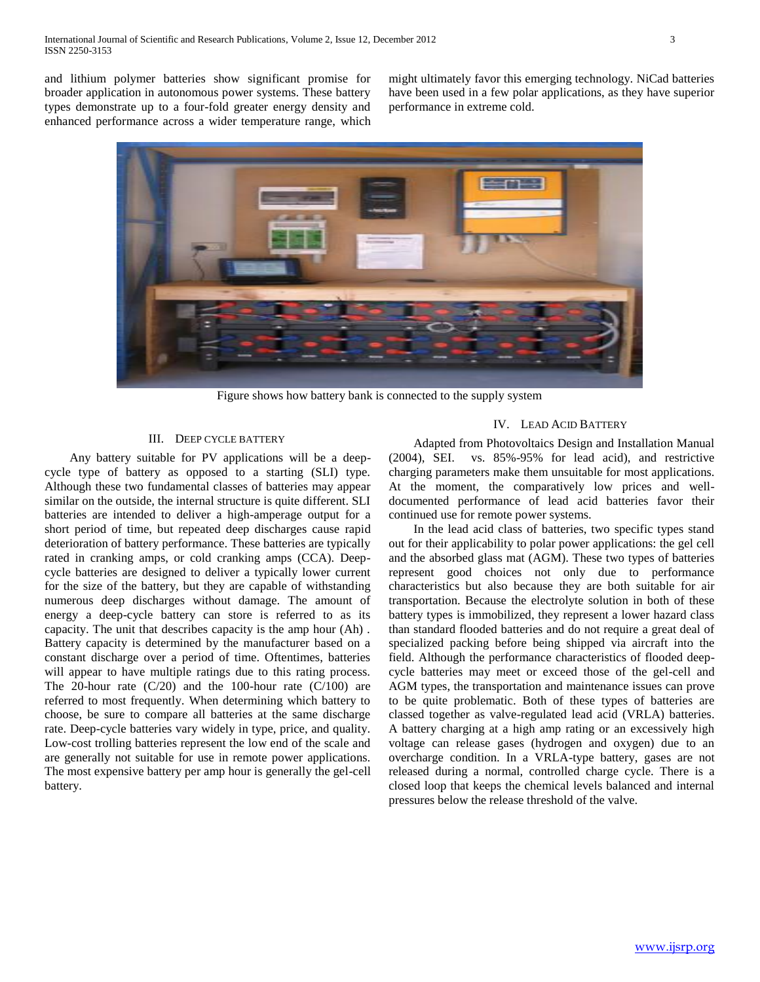and lithium polymer batteries show significant promise for broader application in autonomous power systems. These battery types demonstrate up to a four-fold greater energy density and enhanced performance across a wider temperature range, which might ultimately favor this emerging technology. NiCad batteries have been used in a few polar applications, as they have superior performance in extreme cold.



Figure shows how battery bank is connected to the supply system

# III. DEEP CYCLE BATTERY

 Any battery suitable for PV applications will be a deepcycle type of battery as opposed to a starting (SLI) type. Although these two fundamental classes of batteries may appear similar on the outside, the internal structure is quite different. SLI batteries are intended to deliver a high-amperage output for a short period of time, but repeated deep discharges cause rapid deterioration of battery performance. These batteries are typically rated in cranking amps, or cold cranking amps (CCA). Deepcycle batteries are designed to deliver a typically lower current for the size of the battery, but they are capable of withstanding numerous deep discharges without damage. The amount of energy a deep-cycle battery can store is referred to as its capacity. The unit that describes capacity is the amp hour (Ah) . Battery capacity is determined by the manufacturer based on a constant discharge over a period of time. Oftentimes, batteries will appear to have multiple ratings due to this rating process. The 20-hour rate  $(C/20)$  and the 100-hour rate  $(C/100)$  are referred to most frequently. When determining which battery to choose, be sure to compare all batteries at the same discharge rate. Deep-cycle batteries vary widely in type, price, and quality. Low-cost trolling batteries represent the low end of the scale and are generally not suitable for use in remote power applications. The most expensive battery per amp hour is generally the gel-cell battery.

## IV. LEAD ACID BATTERY

 Adapted from Photovoltaics Design and Installation Manual (2004), SEI. vs. 85%-95% for lead acid), and restrictive charging parameters make them unsuitable for most applications. At the moment, the comparatively low prices and welldocumented performance of lead acid batteries favor their continued use for remote power systems.

 In the lead acid class of batteries, two specific types stand out for their applicability to polar power applications: the gel cell and the absorbed glass mat (AGM). These two types of batteries represent good choices not only due to performance characteristics but also because they are both suitable for air transportation. Because the electrolyte solution in both of these battery types is immobilized, they represent a lower hazard class than standard flooded batteries and do not require a great deal of specialized packing before being shipped via aircraft into the field. Although the performance characteristics of flooded deepcycle batteries may meet or exceed those of the gel-cell and AGM types, the transportation and maintenance issues can prove to be quite problematic. Both of these types of batteries are classed together as valve-regulated lead acid (VRLA) batteries. A battery charging at a high amp rating or an excessively high voltage can release gases (hydrogen and oxygen) due to an overcharge condition. In a VRLA-type battery, gases are not released during a normal, controlled charge cycle. There is a closed loop that keeps the chemical levels balanced and internal pressures below the release threshold of the valve.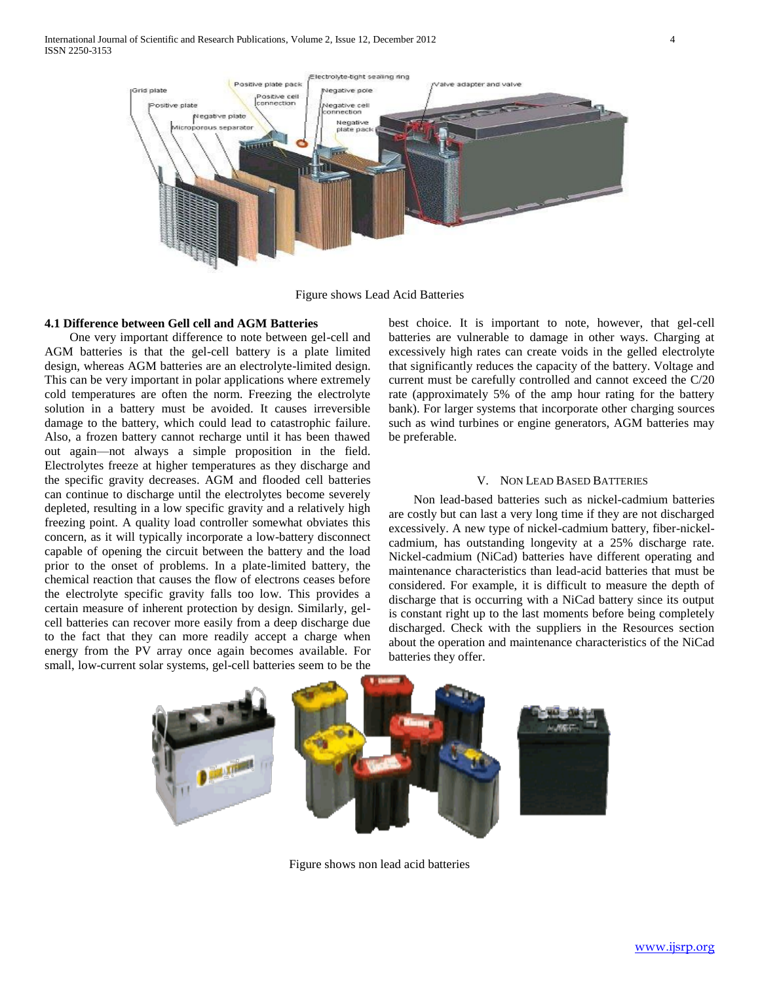

Figure shows Lead Acid Batteries

## **4.1 Difference between Gell cell and AGM Batteries**

 One very important difference to note between gel-cell and AGM batteries is that the gel-cell battery is a plate limited design, whereas AGM batteries are an electrolyte-limited design. This can be very important in polar applications where extremely cold temperatures are often the norm. Freezing the electrolyte solution in a battery must be avoided. It causes irreversible damage to the battery, which could lead to catastrophic failure. Also, a frozen battery cannot recharge until it has been thawed out again—not always a simple proposition in the field. Electrolytes freeze at higher temperatures as they discharge and the specific gravity decreases. AGM and flooded cell batteries can continue to discharge until the electrolytes become severely depleted, resulting in a low specific gravity and a relatively high freezing point. A quality load controller somewhat obviates this concern, as it will typically incorporate a low-battery disconnect capable of opening the circuit between the battery and the load prior to the onset of problems. In a plate-limited battery, the chemical reaction that causes the flow of electrons ceases before the electrolyte specific gravity falls too low. This provides a certain measure of inherent protection by design. Similarly, gelcell batteries can recover more easily from a deep discharge due to the fact that they can more readily accept a charge when energy from the PV array once again becomes available. For small, low-current solar systems, gel-cell batteries seem to be the

best choice. It is important to note, however, that gel-cell batteries are vulnerable to damage in other ways. Charging at excessively high rates can create voids in the gelled electrolyte that significantly reduces the capacity of the battery. Voltage and current must be carefully controlled and cannot exceed the C/20 rate (approximately 5% of the amp hour rating for the battery bank). For larger systems that incorporate other charging sources such as wind turbines or engine generators, AGM batteries may be preferable.

## V. NON LEAD BASED BATTERIES

 Non lead-based batteries such as nickel-cadmium batteries are costly but can last a very long time if they are not discharged excessively. A new type of nickel-cadmium battery, fiber-nickelcadmium, has outstanding longevity at a 25% discharge rate. Nickel-cadmium (NiCad) batteries have different operating and maintenance characteristics than lead-acid batteries that must be considered. For example, it is difficult to measure the depth of discharge that is occurring with a NiCad battery since its output is constant right up to the last moments before being completely discharged. Check with the suppliers in the Resources section about the operation and maintenance characteristics of the NiCad batteries they offer.



Figure shows non lead acid batteries